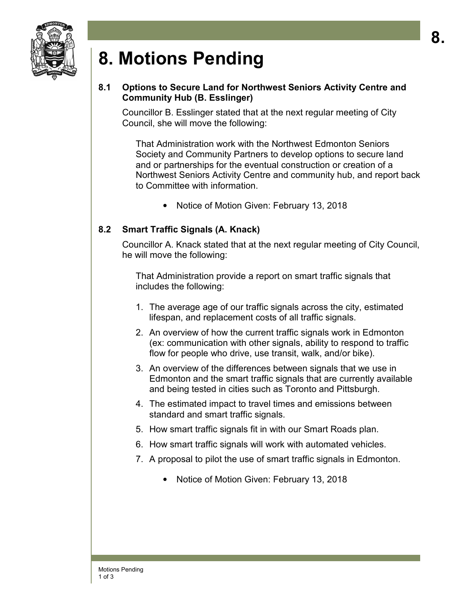

# **8. Motions Pending**

### **8.1 Options to Secure Land for Northwest Seniors Activity Centre and Community Hub (B. Esslinger)**

Councillor B. Esslinger stated that at the next regular meeting of City Council, she will move the following:

That Administration work with the Northwest Edmonton Seniors Society and Community Partners to develop options to secure land and or partnerships for the eventual construction or creation of a Northwest Seniors Activity Centre and community hub, and report back to Committee with information.

• Notice of Motion Given: February 13, 2018

# **8.2 Smart Traffic Signals (A. Knack)**

Councillor A. Knack stated that at the next regular meeting of City Council, he will move the following:

That Administration provide a report on smart traffic signals that includes the following:

- 1. The average age of our traffic signals across the city, estimated lifespan, and replacement costs of all traffic signals.
- 2. An overview of how the current traffic signals work in Edmonton (ex: communication with other signals, ability to respond to traffic flow for people who drive, use transit, walk, and/or bike).
- 3. An overview of the differences between signals that we use in Edmonton and the smart traffic signals that are currently available and being tested in cities such as Toronto and Pittsburgh.
- 4. The estimated impact to travel times and emissions between standard and smart traffic signals.
- 5. How smart traffic signals fit in with our Smart Roads plan.
- 6. How smart traffic signals will work with automated vehicles.
- 7. A proposal to pilot the use of smart traffic signals in Edmonton.
	- Notice of Motion Given: February 13, 2018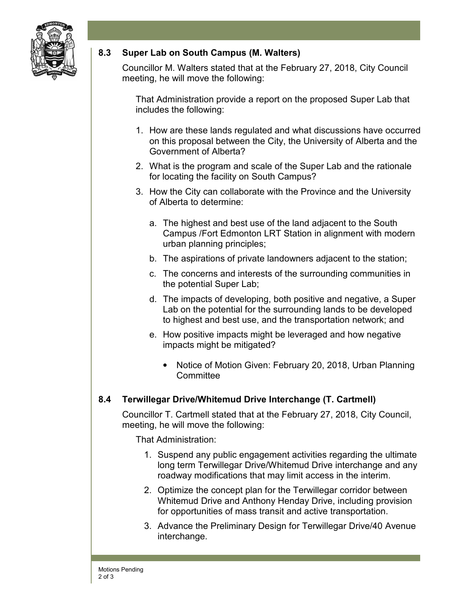

# **8.3 Super Lab on South Campus (M. Walters)**

Councillor M. Walters stated that at the February 27, 2018, City Council meeting, he will move the following:

That Administration provide a report on the proposed Super Lab that includes the following:

- 1. How are these lands regulated and what discussions have occurred on this proposal between the City, the University of Alberta and the Government of Alberta?
- 2. What is the program and scale of the Super Lab and the rationale for locating the facility on South Campus?
- 3. How the City can collaborate with the Province and the University of Alberta to determine:
	- a. The highest and best use of the land adjacent to the South Campus /Fort Edmonton LRT Station in alignment with modern urban planning principles;
	- b. The aspirations of private landowners adjacent to the station;
	- c. The concerns and interests of the surrounding communities in the potential Super Lab;
	- d. The impacts of developing, both positive and negative, a Super Lab on the potential for the surrounding lands to be developed to highest and best use, and the transportation network; and
	- e. How positive impacts might be leveraged and how negative impacts might be mitigated?
		- Notice of Motion Given: February 20, 2018, Urban Planning **Committee**

### **8.4 Terwillegar Drive/Whitemud Drive Interchange (T. Cartmell)**

Councillor T. Cartmell stated that at the February 27, 2018, City Council, meeting, he will move the following:

That Administration:

- 1. Suspend any public engagement activities regarding the ultimate long term Terwillegar Drive/Whitemud Drive interchange and any roadway modifications that may limit access in the interim.
- 2. Optimize the concept plan for the Terwillegar corridor between Whitemud Drive and Anthony Henday Drive, including provision for opportunities of mass transit and active transportation.
- 3. Advance the Preliminary Design for Terwillegar Drive/40 Avenue interchange.